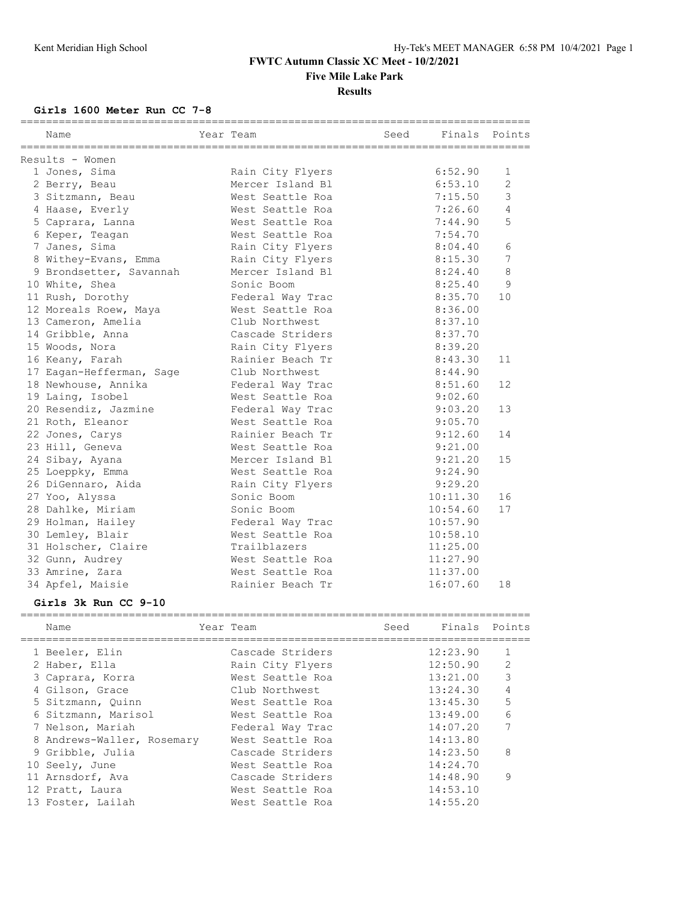================================================================================

#### **FWTC Autumn Classic XC Meet - 10/2/2021 Five Mile Lake Park**

#### **Results**

**Girls 1600 Meter Run CC 7-8**

| ___________________________<br>Name | ======================================<br>Year Team | Seed |          | Finals Points  |
|-------------------------------------|-----------------------------------------------------|------|----------|----------------|
| Results - Women                     |                                                     |      |          |                |
| 1 Jones, Sima                       | Rain City Flyers                                    |      | 6:52.90  | 1              |
| 2 Berry, Beau                       | Mercer Island Bl                                    |      | 6:53.10  | $\overline{2}$ |
| 3 Sitzmann, Beau                    | West Seattle Roa                                    |      | 7:15.50  | 3              |
| 4 Haase, Everly                     | West Seattle Roa                                    |      | 7:26.60  | $\overline{4}$ |
| 5 Caprara, Lanna                    | West Seattle Roa                                    |      | 7:44.90  | 5              |
| 6 Keper, Teagan                     | West Seattle Roa                                    |      | 7:54.70  |                |
| 7 Janes, Sima                       | Rain City Flyers                                    |      | 8:04.40  | 6              |
| 8 Withey-Evans, Emma                | Rain City Flyers                                    |      | 8:15.30  | 7              |
| 9 Brondsetter, Savannah             | Mercer Island Bl                                    |      | 8:24.40  | 8              |
| 10 White, Shea                      | Sonic Boom                                          |      | 8:25.40  | 9              |
| 11 Rush, Dorothy                    | Federal Way Trac                                    |      | 8:35.70  | 10             |
| 12 Moreals Roew, Maya               | West Seattle Roa                                    |      | 8:36.00  |                |
| 13 Cameron, Amelia                  | Club Northwest                                      |      | 8:37.10  |                |
| 14 Gribble, Anna                    | Cascade Striders                                    |      | 8:37.70  |                |
| 15 Woods, Nora                      | Rain City Flyers                                    |      | 8:39.20  |                |
| 16 Keany, Farah                     | Rainier Beach Tr                                    |      | 8:43.30  | 11             |
| 17 Eagan-Hefferman, Sage            | Club Northwest                                      |      | 8:44.90  |                |
| 18 Newhouse, Annika                 | Federal Way Trac                                    |      | 8:51.60  | 12             |
| 19 Laing, Isobel                    | West Seattle Roa                                    |      | 9:02.60  |                |
| 20 Resendiz, Jazmine                | Federal Way Trac                                    |      | 9:03.20  | 13             |
| 21 Roth, Eleanor                    | West Seattle Roa                                    |      | 9:05.70  |                |
| 22 Jones, Carys                     | Rainier Beach Tr                                    |      | 9:12.60  | 14             |
| 23 Hill, Geneva                     | West Seattle Roa                                    |      | 9:21.00  |                |
| 24 Sibay, Ayana                     | Mercer Island Bl                                    |      | 9:21.20  | 15             |
| 25 Loeppky, Emma                    | West Seattle Roa                                    |      | 9:24.90  |                |
| 26 DiGennaro, Aida                  | Rain City Flyers                                    |      | 9:29.20  |                |
| 27 Yoo, Alyssa                      | Sonic Boom                                          |      | 10:11.30 | 16             |
| 28 Dahlke, Miriam                   | Sonic Boom                                          |      | 10:54.60 | 17             |
| 29 Holman, Hailey                   | Federal Way Trac                                    |      | 10:57.90 |                |
| 30 Lemley, Blair                    | West Seattle Roa                                    |      | 10:58.10 |                |
| 31 Holscher, Claire                 | Trailblazers                                        |      | 11:25.00 |                |
| 32 Gunn, Audrey                     | West Seattle Roa                                    |      | 11:27.90 |                |
| 33 Amrine, Zara                     | West Seattle Roa                                    |      | 11:37.00 |                |
| 34 Apfel, Maisie                    | Rainier Beach Tr                                    |      | 16:07.60 | 18             |

#### **Girls 3k Run CC 9-10**

| Name                       | Year Team |                  | Seed | Finals Points |   |
|----------------------------|-----------|------------------|------|---------------|---|
| 1 Beeler, Elin             |           | Cascade Striders |      | 12:23.90      |   |
| 2 Haber, Ella              |           | Rain City Flyers |      | 12:50.90      | 2 |
| 3 Caprara, Korra           |           | West Seattle Roa |      | 13:21.00      | 3 |
| 4 Gilson, Grace            |           | Club Northwest   |      | 13:24.30      | 4 |
| 5 Sitzmann, Quinn          |           | West Seattle Roa |      | 13:45.30      | 5 |
| 6 Sitzmann, Marisol        |           | West Seattle Roa |      | 13:49.00      | 6 |
| 7 Nelson, Mariah           |           | Federal Way Trac |      | 14:07.20      | 7 |
| 8 Andrews-Waller, Rosemary |           | West Seattle Roa |      | 14:13.80      |   |
| 9 Gribble, Julia           |           | Cascade Striders |      | 14:23.50      | 8 |
| 10 Seely, June             |           | West Seattle Roa |      | 14:24.70      |   |
| 11 Arnsdorf, Ava           |           | Cascade Striders |      | 14:48.90      | 9 |
| 12 Pratt, Laura            |           | West Seattle Roa |      | 14:53.10      |   |
| 13 Foster, Lailah          |           | West Seattle Roa |      | 14:55.20      |   |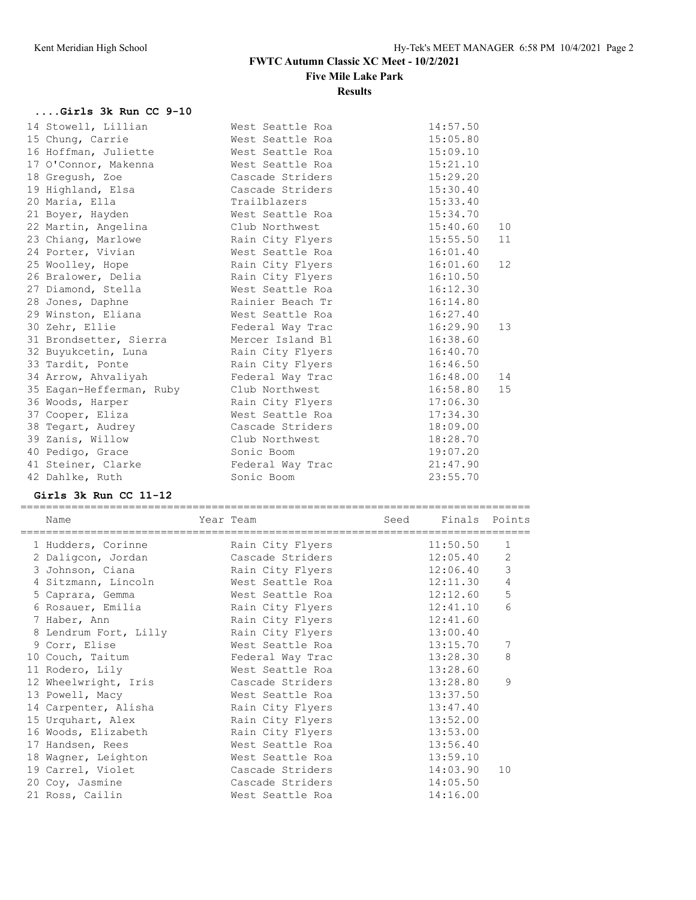# **FWTC Autumn Classic XC Meet - 10/2/2021**

**Five Mile Lake Park**

#### **Results**

## **....Girls 3k Run CC 9-10**

|  | 14 Stowell, Lillian      | West Seattle Roa | 14:57.50 |    |
|--|--------------------------|------------------|----------|----|
|  | 15 Chung, Carrie         | West Seattle Roa | 15:05.80 |    |
|  | 16 Hoffman, Juliette     | West Seattle Roa | 15:09.10 |    |
|  | 17 O'Connor, Makenna     | West Seattle Roa | 15:21.10 |    |
|  | 18 Gregush, Zoe          | Cascade Striders | 15:29.20 |    |
|  | 19 Highland, Elsa        | Cascade Striders | 15:30.40 |    |
|  | 20 Maria, Ella           | Trailblazers     | 15:33.40 |    |
|  | 21 Boyer, Hayden         | West Seattle Roa | 15:34.70 |    |
|  | 22 Martin, Angelina      | Club Northwest   | 15:40.60 | 10 |
|  | 23 Chiang, Marlowe       | Rain City Flyers | 15:55.50 | 11 |
|  | 24 Porter, Vivian        | West Seattle Roa | 16:01.40 |    |
|  | 25 Woolley, Hope         | Rain City Flyers | 16:01.60 | 12 |
|  | 26 Bralower, Delia       | Rain City Flyers | 16:10.50 |    |
|  | 27 Diamond, Stella       | West Seattle Roa | 16:12.30 |    |
|  | 28 Jones, Daphne         | Rainier Beach Tr | 16:14.80 |    |
|  | 29 Winston, Eliana       | West Seattle Roa | 16:27.40 |    |
|  | 30 Zehr, Ellie           | Federal Way Trac | 16:29.90 | 13 |
|  | 31 Brondsetter, Sierra   | Mercer Island Bl | 16:38.60 |    |
|  | 32 Buyukcetin, Luna      | Rain City Flyers | 16:40.70 |    |
|  | 33 Tardit, Ponte         | Rain City Flyers | 16:46.50 |    |
|  | 34 Arrow, Ahvaliyah      | Federal Way Trac | 16:48.00 | 14 |
|  | 35 Eagan-Hefferman, Ruby | Club Northwest   | 16:58.80 | 15 |
|  | 36 Woods, Harper         | Rain City Flyers | 17:06.30 |    |
|  | 37 Cooper, Eliza         | West Seattle Roa | 17:34.30 |    |
|  | 38 Tegart, Audrey        | Cascade Striders | 18:09.00 |    |
|  | 39 Zanis, Willow         | Club Northwest   | 18:28.70 |    |
|  | 40 Pedigo, Grace         | Sonic Boom       | 19:07.20 |    |
|  | 41 Steiner, Clarke       | Federal Way Trac | 21:47.90 |    |
|  | 42 Dahlke, Ruth          | Sonic Boom       | 23:55.70 |    |
|  |                          |                  |          |    |

#### **Girls 3k Run CC 11-12**

|    | Name                  | Year Team        | Seed | Finals   | Points         |
|----|-----------------------|------------------|------|----------|----------------|
|    | 1 Hudders, Corinne    | Rain City Flyers |      | 11:50.50 | 1              |
|    | 2 Daligcon, Jordan    | Cascade Striders |      | 12:05.40 | $\overline{2}$ |
|    | 3 Johnson, Ciana      | Rain City Flyers |      | 12:06.40 | 3              |
|    | 4 Sitzmann, Lincoln   | West Seattle Roa |      | 12:11.30 | 4              |
|    | 5 Caprara, Gemma      | West Seattle Roa |      | 12:12.60 | 5              |
|    | 6 Rosauer, Emilia     | Rain City Flyers |      | 12:41.10 | 6              |
|    | 7 Haber, Ann          | Rain City Flyers |      | 12:41.60 |                |
|    | 8 Lendrum Fort, Lilly | Rain City Flyers |      | 13:00.40 |                |
|    | 9 Corr, Elise         | West Seattle Roa |      | 13:15.70 | 7              |
|    | 10 Couch, Taitum      | Federal Way Trac |      | 13:28.30 | 8              |
|    | 11 Rodero, Lily       | West Seattle Roa |      | 13:28.60 |                |
|    | 12 Wheelwright, Iris  | Cascade Striders |      | 13:28.80 | 9              |
|    | 13 Powell, Macy       | West Seattle Roa |      | 13:37.50 |                |
|    | 14 Carpenter, Alisha  | Rain City Flyers |      | 13:47.40 |                |
|    | 15 Urquhart, Alex     | Rain City Flyers |      | 13:52.00 |                |
|    | 16 Woods, Elizabeth   | Rain City Flyers |      | 13:53.00 |                |
| 17 | Handsen, Rees         | West Seattle Roa |      | 13:56.40 |                |
|    | 18 Wagner, Leighton   | West Seattle Roa |      | 13:59.10 |                |
|    | 19 Carrel, Violet     | Cascade Striders |      | 14:03.90 | 10             |
|    | 20 Coy, Jasmine       | Cascade Striders |      | 14:05.50 |                |
|    | 21 Ross, Cailin       | West Seattle Roa |      | 14:16.00 |                |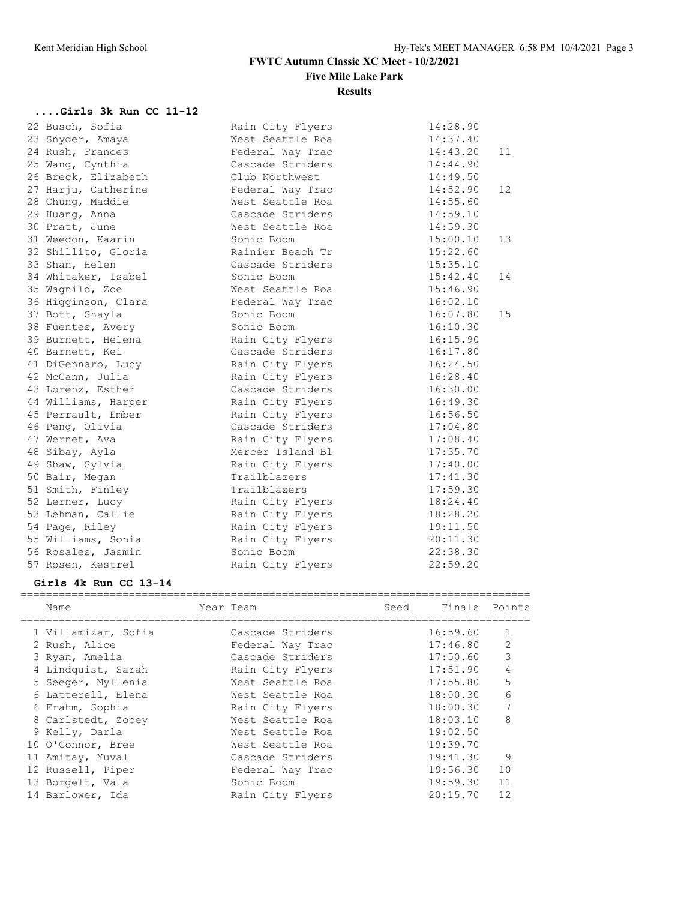# **FWTC Autumn Classic XC Meet - 10/2/2021 Five Mile Lake Park**

#### **Results**

## **....Girls 3k Run CC 11-12**

| 22 Busch, Sofia     | Rain City Flyers | 14:28.90       |
|---------------------|------------------|----------------|
| 23 Snyder, Amaya    | West Seattle Roa | 14:37.40       |
| 24 Rush, Frances    | Federal Way Trac | 14:43.20<br>11 |
| 25 Wang, Cynthia    | Cascade Striders | 14:44.90       |
| 26 Breck, Elizabeth | Club Northwest   | 14:49.50       |
| 27 Harju, Catherine | Federal Way Trac | 14:52.90<br>12 |
| 28 Chung, Maddie    | West Seattle Roa | 14:55.60       |
| 29 Huang, Anna      | Cascade Striders | 14:59.10       |
| 30 Pratt, June      | West Seattle Roa | 14:59.30       |
| 31 Weedon, Kaarin   | Sonic Boom       | 15:00.10<br>13 |
| 32 Shillito, Gloria | Rainier Beach Tr | 15:22.60       |
| 33 Shan, Helen      | Cascade Striders | 15:35.10       |
| 34 Whitaker, Isabel | Sonic Boom       | 15:42.40<br>14 |
| 35 Wagnild, Zoe     | West Seattle Roa | 15:46.90       |
| 36 Higginson, Clara | Federal Way Trac | 16:02.10       |
| 37 Bott, Shayla     | Sonic Boom       | 16:07.80<br>15 |
| 38 Fuentes, Avery   | Sonic Boom       | 16:10.30       |
| 39 Burnett, Helena  | Rain City Flyers | 16:15.90       |
| 40 Barnett, Kei     | Cascade Striders | 16:17.80       |
| 41 DiGennaro, Lucy  | Rain City Flyers | 16:24.50       |
| 42 McCann, Julia    | Rain City Flyers | 16:28.40       |
| 43 Lorenz, Esther   | Cascade Striders | 16:30.00       |
| 44 Williams, Harper | Rain City Flyers | 16:49.30       |
| 45 Perrault, Ember  | Rain City Flyers | 16:56.50       |
| 46 Peng, Olivia     | Cascade Striders | 17:04.80       |
| 47 Wernet, Ava      | Rain City Flyers | 17:08.40       |
| 48 Sibay, Ayla      | Mercer Island Bl | 17:35.70       |
| 49 Shaw, Sylvia     | Rain City Flyers | 17:40.00       |
| 50 Bair, Megan      | Trailblazers     | 17:41.30       |
| 51 Smith, Finley    | Trailblazers     | 17:59.30       |
| 52 Lerner, Lucy     | Rain City Flyers | 18:24.40       |
| 53 Lehman, Callie   | Rain City Flyers | 18:28.20       |
| 54 Page, Riley      | Rain City Flyers | 19:11.50       |
| 55 Williams, Sonia  | Rain City Flyers | 20:11.30       |
| 56 Rosales, Jasmin  | Sonic Boom       | 22:38.30       |
| 57 Rosen, Kestrel   | Rain City Flyers | 22:59.20       |

#### **Girls 4k Run CC 13-14**

| Name                | Year Team        | Seed | Finals Points |    |
|---------------------|------------------|------|---------------|----|
| 1 Villamizar, Sofia | Cascade Striders |      | 16:59.60      | 1  |
| 2 Rush, Alice       | Federal Way Trac |      | 17:46.80      | 2  |
| 3 Ryan, Amelia      | Cascade Striders |      | 17:50.60      | 3  |
| 4 Lindquist, Sarah  | Rain City Flyers |      | 17:51.90      | 4  |
| 5 Seeger, Myllenia  | West Seattle Roa |      | 17:55.80      | 5  |
| 6 Latterell, Elena  | West Seattle Roa |      | 18:00.30      | 6  |
| 6 Frahm, Sophia     | Rain City Flyers |      | 18:00.30      |    |
| 8 Carlstedt, Zooey  | West Seattle Roa |      | 18:03.10      | 8  |
| 9 Kelly, Darla      | West Seattle Roa |      | 19:02.50      |    |
| 10 O'Connor, Bree   | West Seattle Roa |      | 19:39.70      |    |
| 11 Amitay, Yuval    | Cascade Striders |      | 19:41.30      | 9  |
| 12 Russell, Piper   | Federal Way Trac |      | 19:56.30      | 10 |
| 13 Borgelt, Vala    | Sonic Boom       |      | 19:59.30      | 11 |
| 14 Barlower, Ida    | Rain City Flyers |      | 20:15.70      | 12 |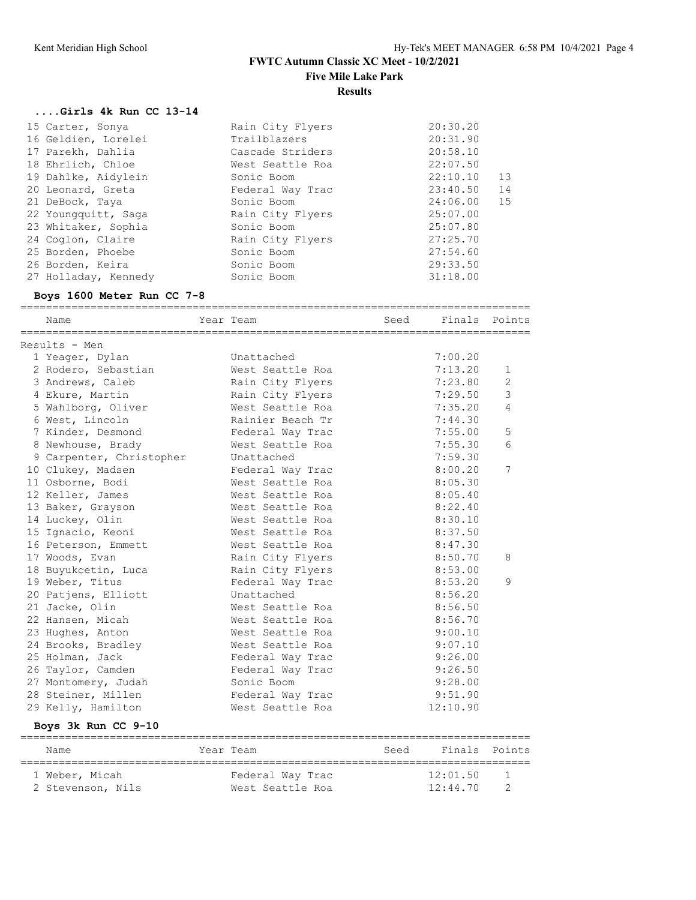#### **FWTC Autumn Classic XC Meet - 10/2/2021 Five Mile Lake Park**

**Results**

## **....Girls 4k Run CC 13-14**

| 15 Carter, Sonya     | Rain City Flyers | 20:30.20 |    |
|----------------------|------------------|----------|----|
| 16 Geldien, Lorelei  | Trailblazers     | 20:31.90 |    |
| 17 Parekh, Dahlia    | Cascade Striders | 20:58.10 |    |
| 18 Ehrlich, Chloe    | West Seattle Roa | 22:07.50 |    |
| 19 Dahlke, Aidylein  | Sonic Boom       | 22:10.10 | 13 |
| 20 Leonard, Greta    | Federal Way Trac | 23:40.50 | 14 |
| 21 DeBock, Taya      | Sonic Boom       | 24:06.00 | 15 |
| 22 Youngquitt, Saga  | Rain City Flyers | 25:07.00 |    |
| 23 Whitaker, Sophia  | Sonic Boom       | 25:07.80 |    |
| 24 Coglon, Claire    | Rain City Flyers | 27:25.70 |    |
| 25 Borden, Phoebe    | Sonic Boom       | 27:54.60 |    |
| 26 Borden, Keira     | Sonic Boom       | 29:33.50 |    |
| 27 Holladay, Kennedy | Sonic Boom       | 31:18.00 |    |
|                      |                  |          |    |

## **Boys 1600 Meter Run CC 7-8**

| Name                     | Year Team        | Seed | Finals Points |              |
|--------------------------|------------------|------|---------------|--------------|
| Results - Men            |                  |      |               |              |
| 1 Yeager, Dylan          | Unattached       |      | 7:00.20       |              |
| 2 Rodero, Sebastian      | West Seattle Roa |      | 7:13.20       | $\mathbf{1}$ |
| 3 Andrews, Caleb         | Rain City Flyers |      | 7:23.80       | 2            |
| 4 Ekure, Martin          | Rain City Flyers |      | 7:29.50       | 3            |
| 5 Wahlborg, Oliver       | West Seattle Roa |      | 7:35.20       | 4            |
| 6 West, Lincoln          | Rainier Beach Tr |      | 7:44.30       |              |
| 7 Kinder, Desmond        | Federal Way Trac |      | 7:55.00       | 5            |
| 8 Newhouse, Brady        | West Seattle Roa |      | 7:55.30       | 6            |
| 9 Carpenter, Christopher | Unattached       |      | 7:59.30       |              |
| 10 Clukey, Madsen        | Federal Way Trac |      | 8:00.20       | 7            |
| 11 Osborne, Bodi         | West Seattle Roa |      | 8:05.30       |              |
| 12 Keller, James         | West Seattle Roa |      | 8:05.40       |              |
| 13 Baker, Grayson        | West Seattle Roa |      | 8:22.40       |              |
| 14 Luckey, Olin          | West Seattle Roa |      | 8:30.10       |              |
| 15 Ignacio, Keoni        | West Seattle Roa |      | 8:37.50       |              |
| 16 Peterson, Emmett      | West Seattle Roa |      | 8:47.30       |              |
| 17 Woods, Evan           | Rain City Flyers |      | 8:50.70       | 8            |
| 18 Buyukcetin, Luca      | Rain City Flyers |      | 8:53.00       |              |
| 19 Weber, Titus          | Federal Way Trac |      | 8:53.20       | 9            |
| 20 Patjens, Elliott      | Unattached       |      | 8:56.20       |              |
| 21 Jacke, Olin           | West Seattle Roa |      | 8:56.50       |              |
| 22 Hansen, Micah         | West Seattle Roa |      | 8:56.70       |              |
| 23 Hughes, Anton         | West Seattle Roa |      | 9:00.10       |              |
| 24 Brooks, Bradley       | West Seattle Roa |      | 9:07.10       |              |
| 25 Holman, Jack          | Federal Way Trac |      | 9:26.00       |              |
| 26 Taylor, Camden        | Federal Way Trac |      | 9:26.50       |              |
| 27 Montomery, Judah      | Sonic Boom       |      | 9:28.00       |              |
| 28 Steiner, Millen       | Federal Way Trac |      | 9:51.90       |              |
| 29 Kelly, Hamilton       | West Seattle Roa |      | 12:10.90      |              |
|                          |                  |      |               |              |

#### **Boys 3k Run CC 9-10**

| Name              | Year Team        | Seed | Finals Points |          |
|-------------------|------------------|------|---------------|----------|
| 1 Weber, Micah    | Federal Way Trac |      | 12:01.50      |          |
| 2 Stevenson, Nils | West Seattle Roa |      | 12:44.70      | $\gamma$ |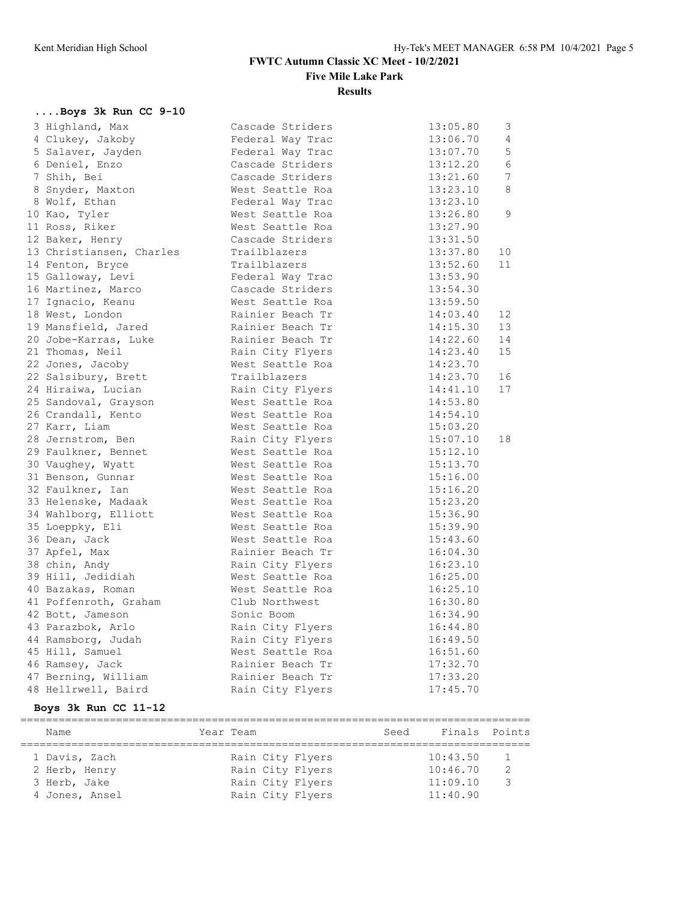**FWTC Autumn Classic XC Meet - 10/2/2021**

**Five Mile Lake Park**

**Results**

## **....Boys 3k Run CC 9-10**

| 3 Highland, Max          | Cascade Striders | 3<br>13:05.80               |
|--------------------------|------------------|-----------------------------|
| 4 Clukey, Jakoby         | Federal Way Trac | 4<br>13:06.70               |
| 5 Salaver, Jayden        | Federal Way Trac | 5<br>13:07.70               |
| 6 Deniel, Enzo           | Cascade Striders | 13:12.20<br>6               |
| 7 Shih, Bei              | Cascade Striders | $\overline{7}$<br>13:21.60  |
| 8 Snyder, Maxton         | West Seattle Roa | 8<br>13:23.10               |
| 8 Wolf, Ethan            | Federal Way Trac | 13:23.10                    |
| 10 Kao, Tyler            | West Seattle Roa | 9<br>13:26.80               |
| 11 Ross, Riker           | West Seattle Roa | 13:27.90                    |
| 12 Baker, Henry          | Cascade Striders | 13:31.50                    |
| 13 Christiansen, Charles | Trailblazers     | 13:37.80<br>10 <sup>°</sup> |
| 14 Fenton, Bryce         | Trailblazers     | 13:52.60<br>11              |
| 15 Galloway, Levi        | Federal Way Trac | 13:53.90                    |
| 16 Martinez, Marco       | Cascade Striders | 13:54.30                    |
| 17 Ignacio, Keanu        | West Seattle Roa | 13:59.50                    |
| 18 West, London          | Rainier Beach Tr | 14:03.40<br>12 <sup>°</sup> |
| 19 Mansfield, Jared      | Rainier Beach Tr | 14:15.30<br>13 <sup>°</sup> |
| 20 Jobe-Karras, Luke     | Rainier Beach Tr | 14:22.60<br>14              |
| 21 Thomas, Neil          | Rain City Flyers | 14:23.40<br>15              |
| 22 Jones, Jacoby         | West Seattle Roa | 14:23.70                    |
| 22 Salsibury, Brett      | Trailblazers     | 14:23.70<br>16              |
| 24 Hiraiwa, Lucian       | Rain City Flyers | 14:41.10<br>17              |
| 25 Sandoval, Grayson     | West Seattle Roa | 14:53.80                    |
| 26 Crandall, Kento       | West Seattle Roa | 14:54.10                    |
| 27 Karr, Liam            | West Seattle Roa | 15:03.20                    |
| 28 Jernstrom, Ben        | Rain City Flyers | 15:07.10<br>18              |
| 29 Faulkner, Bennet      | West Seattle Roa | 15:12.10                    |
| 30 Vaughey, Wyatt        | West Seattle Roa | 15:13.70                    |
| 31 Benson, Gunnar        | West Seattle Roa | 15:16.00                    |
| 32 Faulkner, Ian         | West Seattle Roa | 15:16.20                    |
| 33 Helenske, Madaak      | West Seattle Roa | 15:23.20                    |
| 34 Wahlborg, Elliott     | West Seattle Roa | 15:36.90                    |
| 35 Loeppky, Eli          | West Seattle Roa | 15:39.90                    |
| 36 Dean, Jack            | West Seattle Roa | 15:43.60                    |
| 37 Apfel, Max            | Rainier Beach Tr | 16:04.30                    |
| 38 chin, Andy            | Rain City Flyers | 16:23.10                    |
| 39 Hill, Jedidiah        | West Seattle Roa | 16:25.00                    |
| 40 Bazakas, Roman        | West Seattle Roa | 16:25.10                    |
| 41 Poffenroth, Graham    | Club Northwest   | 16:30.80                    |
| 42 Bott, Jameson         | Sonic Boom       | 16:34.90                    |
| 43 Parazbok, Arlo        | Rain City Flyers | 16:44.80                    |
| 44 Ramsborg, Judah       | Rain City Flyers | 16:49.50                    |
| 45 Hill, Samuel          | West Seattle Roa | 16:51.60                    |
| 46 Ramsey, Jack          | Rainier Beach Tr | 17:32.70                    |
| 47 Berning, William      | Rainier Beach Tr | 17:33.20                    |
| 48 Hellrwell, Baird      | Rain City Flyers | 17:45.70                    |

## **Boys 3k Run CC 11-12**

| Name           | Year Team        | Seed | Finals Points |                |  |  |  |
|----------------|------------------|------|---------------|----------------|--|--|--|
|                |                  |      |               |                |  |  |  |
| 1 Davis, Zach  | Rain City Flyers |      | 10:43.50      | $\overline{1}$ |  |  |  |
| 2 Herb, Henry  | Rain City Flyers |      | 10:46.70      | $\mathcal{D}$  |  |  |  |
| 3 Herb, Jake   | Rain City Flyers |      | 11:09.10      | २              |  |  |  |
| 4 Jones, Ansel | Rain City Flyers |      | 11:40.90      |                |  |  |  |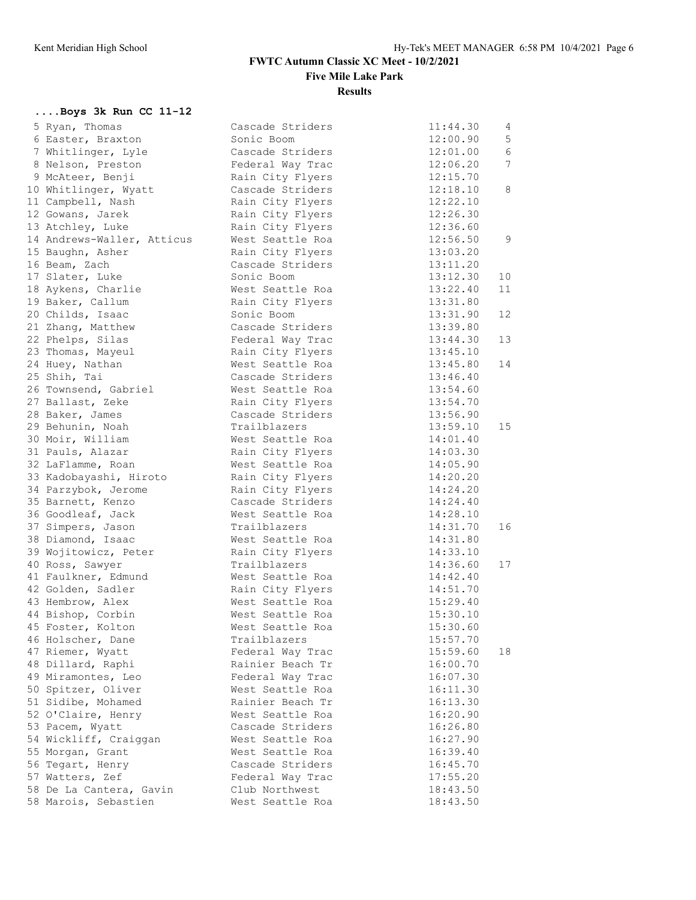# **FWTC Autumn Classic XC Meet - 10/2/2021**

**Five Mile Lake Park**

#### **Results**

## **....Boys 3k Run CC 11-12**

| 5 Ryan, Thomas             | Cascade Striders | 11:44.30 | $4\overline{ }$ |
|----------------------------|------------------|----------|-----------------|
| 6 Easter, Braxton          | Sonic Boom       | 12:00.90 | $5\phantom{.}$  |
| 7 Whitlinger, Lyle         | Cascade Striders | 12:01.00 | 6               |
| 8 Nelson, Preston          | Federal Way Trac | 12:06.20 | 7               |
| 9 McAteer, Benji           | Rain City Flyers | 12:15.70 |                 |
| 10 Whitlinger, Wyatt       | Cascade Striders | 12:18.10 | 8               |
| 11 Campbell, Nash          | Rain City Flyers | 12:22.10 |                 |
| 12 Gowans, Jarek           | Rain City Flyers | 12:26.30 |                 |
| 13 Atchley, Luke           | Rain City Flyers | 12:36.60 |                 |
| 14 Andrews-Waller, Atticus | West Seattle Roa | 12:56.50 | 9               |
| 15 Baughn, Asher           | Rain City Flyers | 13:03.20 |                 |
| 16 Beam, Zach              | Cascade Striders | 13:11.20 |                 |
| 17 Slater, Luke            | Sonic Boom       | 13:12.30 | 10              |
| 18 Aykens, Charlie         | West Seattle Roa | 13:22.40 | 11              |
| 19 Baker, Callum           | Rain City Flyers | 13:31.80 |                 |
| 20 Childs, Isaac           | Sonic Boom       | 13:31.90 | 12              |
| 21 Zhang, Matthew          | Cascade Striders | 13:39.80 |                 |
| 22 Phelps, Silas           | Federal Way Trac | 13:44.30 | 13              |
| 23 Thomas, Mayeul          | Rain City Flyers | 13:45.10 |                 |
| 24 Huey, Nathan            | West Seattle Roa | 13:45.80 | 14              |
| 25 Shih, Tai               | Cascade Striders | 13:46.40 |                 |
| 26 Townsend, Gabriel       | West Seattle Roa | 13:54.60 |                 |
| 27 Ballast, Zeke           | Rain City Flyers | 13:54.70 |                 |
| 28 Baker, James            | Cascade Striders | 13:56.90 |                 |
| 29 Behunin, Noah           | Trailblazers     | 13:59.10 | 15 <sub>1</sub> |
|                            |                  |          |                 |
| 30 Moir, William           | West Seattle Roa | 14:01.40 |                 |
| 31 Pauls, Alazar           | Rain City Flyers | 14:03.30 |                 |
| 32 LaFlamme, Roan          | West Seattle Roa | 14:05.90 |                 |
| 33 Kadobayashi, Hiroto     | Rain City Flyers | 14:20.20 |                 |
| 34 Parzybok, Jerome        | Rain City Flyers | 14:24.20 |                 |
| 35 Barnett, Kenzo          | Cascade Striders | 14:24.40 |                 |
| 36 Goodleaf, Jack          | West Seattle Roa | 14:28.10 |                 |
| 37 Simpers, Jason          | Trailblazers     | 14:31.70 | 16              |
| 38 Diamond, Isaac          | West Seattle Roa | 14:31.80 |                 |
| 39 Wojitowicz, Peter       | Rain City Flyers | 14:33.10 |                 |
| 40 Ross, Sawyer            | Trailblazers     | 14:36.60 | 17              |
| 41 Faulkner, Edmund        | West Seattle Roa | 14:42.40 |                 |
| 42 Golden, Sadler          | Rain City Flyers | 14:51.70 |                 |
| 43 Hembrow, Alex           | West Seattle Roa | 15:29.40 |                 |
| 44 Bishop, Corbin          | West Seattle Roa | 15:30.10 |                 |
| 45 Foster, Kolton          | West Seattle Roa | 15:30.60 |                 |
| 46 Holscher, Dane          | Trailblazers     | 15:57.70 |                 |
| 47 Riemer, Wyatt           | Federal Way Trac | 15:59.60 | 18              |
| 48 Dillard, Raphi          | Rainier Beach Tr | 16:00.70 |                 |
| 49 Miramontes, Leo         | Federal Way Trac | 16:07.30 |                 |
| 50 Spitzer, Oliver         | West Seattle Roa | 16:11.30 |                 |
| 51 Sidibe, Mohamed         | Rainier Beach Tr | 16:13.30 |                 |
| 52 O'Claire, Henry         | West Seattle Roa | 16:20.90 |                 |
| 53 Pacem, Wyatt            | Cascade Striders | 16:26.80 |                 |
| 54 Wickliff, Craiggan      | West Seattle Roa | 16:27.90 |                 |
| 55 Morgan, Grant           | West Seattle Roa | 16:39.40 |                 |
| 56 Tegart, Henry           | Cascade Striders | 16:45.70 |                 |
| 57 Watters, Zef            | Federal Way Trac | 17:55.20 |                 |
| 58 De La Cantera, Gavin    | Club Northwest   | 18:43.50 |                 |
| 58 Marois, Sebastien       | West Seattle Roa | 18:43.50 |                 |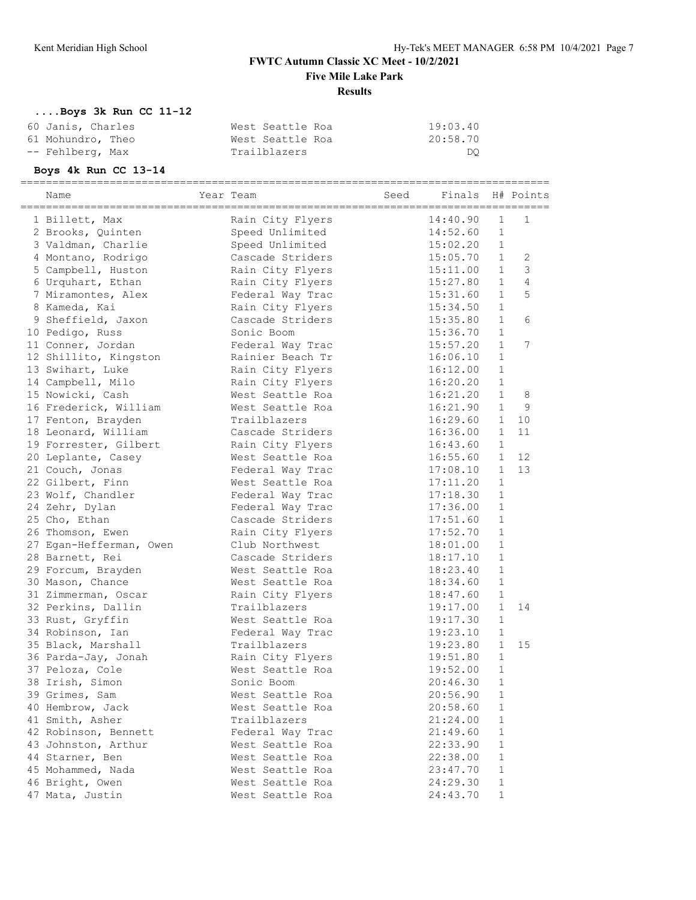## **FWTC Autumn Classic XC Meet - 10/2/2021 Five Mile Lake Park Results**

## **....Boys 3k Run CC 11-12**

| 60 Janis, Charles | West Seattle Roa | 19:03.40 |
|-------------------|------------------|----------|
| 61 Mohundro, Theo | West Seattle Roa | 20:58.70 |
| -- Fehlberg, Max  | Trailblazers     | DO       |

## **Boys 4k Run CC 13-14**

|  | Name                    | Year Team        | Seed | =========<br>Finals |              | H# Points      |
|--|-------------------------|------------------|------|---------------------|--------------|----------------|
|  | 1 Billett, Max          | Rain City Flyers |      | 14:40.90            | $\mathbf 1$  | $\mathbf{1}$   |
|  | 2 Brooks, Quinten       | Speed Unlimited  |      | 14:52.60            | $\mathbf{1}$ |                |
|  | 3 Valdman, Charlie      | Speed Unlimited  |      | 15:02.20            | $\mathbf{1}$ |                |
|  | 4 Montano, Rodrigo      | Cascade Striders |      | 15:05.70            | $\mathbf{1}$ | 2              |
|  | 5 Campbell, Huston      | Rain City Flyers |      | 15:11.00            | $\mathbf{1}$ | $\mathcal{S}$  |
|  | 6 Urquhart, Ethan       | Rain City Flyers |      | 15:27.80            | $\mathbf{1}$ | $\overline{4}$ |
|  | 7 Miramontes, Alex      | Federal Way Trac |      | 15:31.60            | $\mathbf{1}$ | 5              |
|  | 8 Kameda, Kai           | Rain City Flyers |      | 15:34.50            | $\mathbf{1}$ |                |
|  | 9 Sheffield, Jaxon      | Cascade Striders |      | 15:35.80            | $\mathbf{1}$ | 6              |
|  | 10 Pedigo, Russ         | Sonic Boom       |      | 15:36.70            | $\mathbf{1}$ |                |
|  | 11 Conner, Jordan       | Federal Way Trac |      | 15:57.20            | $\mathbf{1}$ | 7              |
|  | 12 Shillito, Kingston   | Rainier Beach Tr |      | 16:06.10            | $\mathbf{1}$ |                |
|  | 13 Swihart, Luke        | Rain City Flyers |      | 16:12.00            | $\mathbf{1}$ |                |
|  | 14 Campbell, Milo       | Rain City Flyers |      | 16:20.20            | $1\,$        |                |
|  | 15 Nowicki, Cash        | West Seattle Roa |      | 16:21.20            | $\mathbf{1}$ | 8              |
|  | 16 Frederick, William   | West Seattle Roa |      | 16:21.90            | $\mathbf{1}$ | 9              |
|  | 17 Fenton, Brayden      | Trailblazers     |      | 16:29.60            | $\mathbf{1}$ | 10             |
|  | 18 Leonard, William     | Cascade Striders |      | 16:36.00            | $\mathbf{1}$ | 11             |
|  | 19 Forrester, Gilbert   | Rain City Flyers |      | 16:43.60            | $\mathbf{1}$ |                |
|  | 20 Leplante, Casey      | West Seattle Roa |      | 16:55.60            | $\mathbf{1}$ | 12             |
|  |                         |                  |      |                     | $\mathbf{1}$ | 13             |
|  | 21 Couch, Jonas         | Federal Way Trac |      | 17:08.10            | $\mathbf{1}$ |                |
|  | 22 Gilbert, Finn        | West Seattle Roa |      | 17:11.20            |              |                |
|  | 23 Wolf, Chandler       | Federal Way Trac |      | 17:18.30            | $\mathbf{1}$ |                |
|  | 24 Zehr, Dylan          | Federal Way Trac |      | 17:36.00            | $\mathbf{1}$ |                |
|  | 25 Cho, Ethan           | Cascade Striders |      | 17:51.60            | $\mathbf{1}$ |                |
|  | 26 Thomson, Ewen        | Rain City Flyers |      | 17:52.70            | $\mathbf{1}$ |                |
|  | 27 Egan-Hefferman, Owen | Club Northwest   |      | 18:01.00            | $\mathbf{1}$ |                |
|  | 28 Barnett, Rei         | Cascade Striders |      | 18:17.10            | $\mathbf{1}$ |                |
|  | 29 Forcum, Brayden      | West Seattle Roa |      | 18:23.40            | $\mathbf{1}$ |                |
|  | 30 Mason, Chance        | West Seattle Roa |      | 18:34.60            | $\mathbf{1}$ |                |
|  | 31 Zimmerman, Oscar     | Rain City Flyers |      | 18:47.60            | $\mathbf{1}$ |                |
|  | 32 Perkins, Dallin      | Trailblazers     |      | 19:17.00            | $\mathbf{1}$ | 14             |
|  | 33 Rust, Gryffin        | West Seattle Roa |      | 19:17.30            | $\mathbf{1}$ |                |
|  | 34 Robinson, Ian        | Federal Way Trac |      | 19:23.10            | $\mathbf 1$  |                |
|  | 35 Black, Marshall      | Trailblazers     |      | 19:23.80            | $\mathbf{1}$ | 15             |
|  | 36 Parda-Jay, Jonah     | Rain City Flyers |      | 19:51.80            | $\mathbf{1}$ |                |
|  | 37 Peloza, Cole         | West Seattle Roa |      | 19:52.00            | $\mathbf{1}$ |                |
|  | 38 Irish, Simon         | Sonic Boom       |      | 20:46.30            | $\mathbf{1}$ |                |
|  | 39 Grimes, Sam          | West Seattle Roa |      | 20:56.90            | $\mathbf{1}$ |                |
|  | 40 Hembrow, Jack        | West Seattle Roa |      | 20:58.60            | $\mathbf{1}$ |                |
|  | 41 Smith, Asher         | Trailblazers     |      | 21:24.00            | $\mathbf{1}$ |                |
|  | 42 Robinson, Bennett    | Federal Way Trac |      | 21:49.60            | $\mathbf{1}$ |                |
|  | 43 Johnston, Arthur     | West Seattle Roa |      | 22:33.90            | $\mathbf{1}$ |                |
|  | 44 Starner, Ben         | West Seattle Roa |      | 22:38.00            | $\mathbf 1$  |                |
|  | 45 Mohammed, Nada       | West Seattle Roa |      | 23:47.70            | $\mathbf 1$  |                |
|  | 46 Bright, Owen         | West Seattle Roa |      | 24:29.30            | $\mathbf{1}$ |                |
|  | 47 Mata, Justin         | West Seattle Roa |      | 24:43.70            | $\mathbf{1}$ |                |
|  |                         |                  |      |                     |              |                |